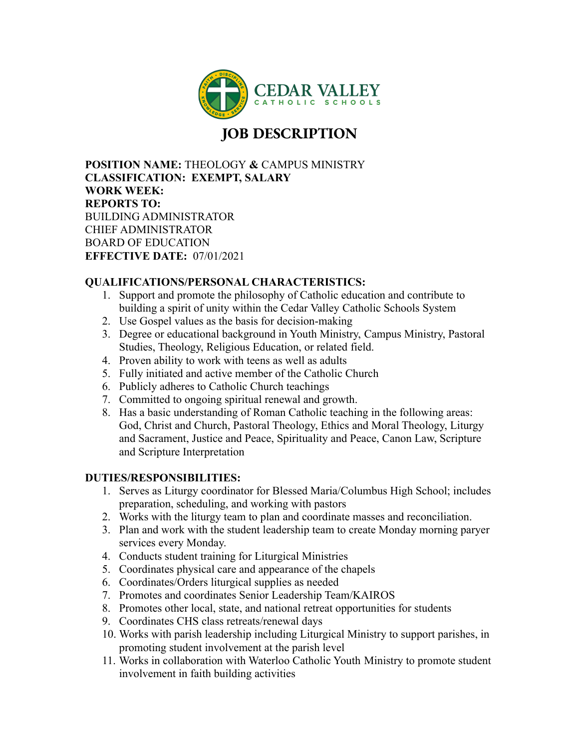

## **JOB DESCRIPTION**

**POSITION NAME:** THEOLOGY **&** CAMPUS MINISTRY **CLASSIFICATION: EXEMPT, SALARY WORK WEEK: REPORTS TO:** BUILDING ADMINISTRATOR CHIEF ADMINISTRATOR BOARD OF EDUCATION **EFFECTIVE DATE:** 07/01/2021

## **QUALIFICATIONS/PERSONAL CHARACTERISTICS:**

- 1. Support and promote the philosophy of Catholic education and contribute to building a spirit of unity within the Cedar Valley Catholic Schools System
- 2. Use Gospel values as the basis for decision-making
- 3. Degree or educational background in Youth Ministry, Campus Ministry, Pastoral Studies, Theology, Religious Education, or related field.
- 4. Proven ability to work with teens as well as adults
- 5. Fully initiated and active member of the Catholic Church
- 6. Publicly adheres to Catholic Church teachings
- 7. Committed to ongoing spiritual renewal and growth.
- 8. Has a basic understanding of Roman Catholic teaching in the following areas: God, Christ and Church, Pastoral Theology, Ethics and Moral Theology, Liturgy and Sacrament, Justice and Peace, Spirituality and Peace, Canon Law, Scripture and Scripture Interpretation

## **DUTIES/RESPONSIBILITIES:**

- 1. Serves as Liturgy coordinator for Blessed Maria/Columbus High School; includes preparation, scheduling, and working with pastors
- 2. Works with the liturgy team to plan and coordinate masses and reconciliation.
- 3. Plan and work with the student leadership team to create Monday morning paryer services every Monday.
- 4. Conducts student training for Liturgical Ministries
- 5. Coordinates physical care and appearance of the chapels
- 6. Coordinates/Orders liturgical supplies as needed
- 7. Promotes and coordinates Senior Leadership Team/KAIROS
- 8. Promotes other local, state, and national retreat opportunities for students
- 9. Coordinates CHS class retreats/renewal days
- 10. Works with parish leadership including Liturgical Ministry to support parishes, in promoting student involvement at the parish level
- 11. Works in collaboration with Waterloo Catholic Youth Ministry to promote student involvement in faith building activities